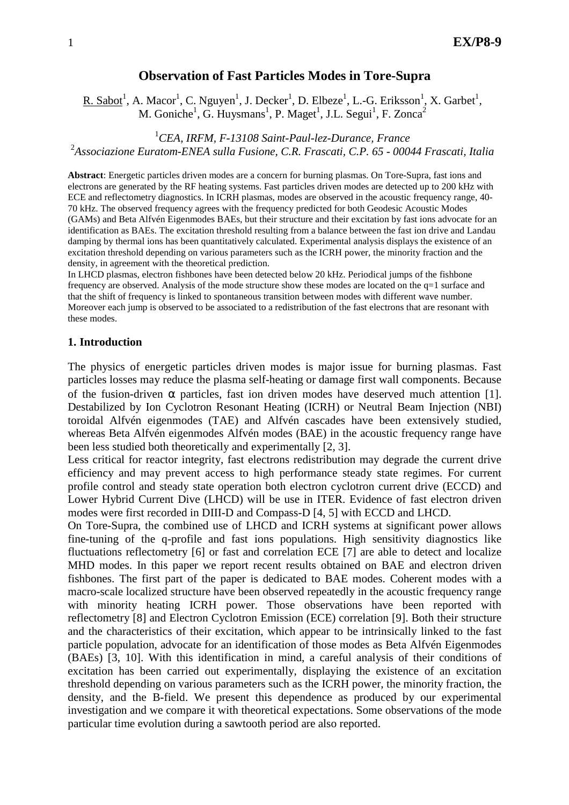# **Observation of Fast Particles Modes in Tore-Supra**

R. Sabot<sup>1</sup>, A. Macor<sup>1</sup>, C. Nguyen<sup>1</sup>, J. Decker<sup>1</sup>, D. Elbeze<sup>1</sup>, L.-G. Eriksson<sup>1</sup>, X. Garbet<sup>1</sup>, M. Goniche<sup>1</sup>, G. Huysmans<sup>1</sup>, P. Maget<sup>1</sup>, J.L. Segui<sup>1</sup>, F. Zonca<sup>2</sup>

<sup>1</sup>*CEA, IRFM, F-13108 Saint-Paul-lez-Durance, France*  2 *Associazione Euratom-ENEA sulla Fusione, C.R. Frascati, C.P. 65 - 00044 Frascati, Italia* 

**Abstract**: Energetic particles driven modes are a concern for burning plasmas. On Tore-Supra, fast ions and electrons are generated by the RF heating systems. Fast particles driven modes are detected up to 200 kHz with ECE and reflectometry diagnostics. In ICRH plasmas, modes are observed in the acoustic frequency range, 40- 70 kHz. The observed frequency agrees with the frequency predicted for both Geodesic Acoustic Modes (GAMs) and Beta Alfvén Eigenmodes BAEs, but their structure and their excitation by fast ions advocate for an identification as BAEs. The excitation threshold resulting from a balance between the fast ion drive and Landau damping by thermal ions has been quantitatively calculated. Experimental analysis displays the existence of an excitation threshold depending on various parameters such as the ICRH power, the minority fraction and the density, in agreement with the theoretical prediction.

In LHCD plasmas, electron fishbones have been detected below 20 kHz. Periodical jumps of the fishbone frequency are observed. Analysis of the mode structure show these modes are located on the q=1 surface and that the shift of frequency is linked to spontaneous transition between modes with different wave number. Moreover each jump is observed to be associated to a redistribution of the fast electrons that are resonant with these modes.

### **1. Introduction**

The physics of energetic particles driven modes is major issue for burning plasmas. Fast particles losses may reduce the plasma self-heating or damage first wall components. Because of the fusion-driven  $\alpha$  particles, fast ion driven modes have deserved much attention [1]. Destabilized by Ion Cyclotron Resonant Heating (ICRH) or Neutral Beam Injection (NBI) toroidal Alfvén eigenmodes (TAE) and Alfvén cascades have been extensively studied, whereas Beta Alfvén eigenmodes Alfvén modes (BAE) in the acoustic frequency range have been less studied both theoretically and experimentally [2, 3].

Less critical for reactor integrity, fast electrons redistribution may degrade the current drive efficiency and may prevent access to high performance steady state regimes. For current profile control and steady state operation both electron cyclotron current drive (ECCD) and Lower Hybrid Current Dive (LHCD) will be use in ITER. Evidence of fast electron driven modes were first recorded in DIII-D and Compass-D [4, 5] with ECCD and LHCD.

On Tore-Supra, the combined use of LHCD and ICRH systems at significant power allows fine-tuning of the q-profile and fast ions populations. High sensitivity diagnostics like fluctuations reflectometry [6] or fast and correlation ECE [7] are able to detect and localize MHD modes. In this paper we report recent results obtained on BAE and electron driven fishbones. The first part of the paper is dedicated to BAE modes. Coherent modes with a macro-scale localized structure have been observed repeatedly in the acoustic frequency range with minority heating ICRH power. Those observations have been reported with reflectometry [8] and Electron Cyclotron Emission (ECE) correlation [9]. Both their structure and the characteristics of their excitation, which appear to be intrinsically linked to the fast particle population, advocate for an identification of those modes as Beta Alfvén Eigenmodes (BAEs) [3, 10]. With this identification in mind, a careful analysis of their conditions of excitation has been carried out experimentally, displaying the existence of an excitation threshold depending on various parameters such as the ICRH power, the minority fraction, the density, and the B-field. We present this dependence as produced by our experimental investigation and we compare it with theoretical expectations. Some observations of the mode particular time evolution during a sawtooth period are also reported.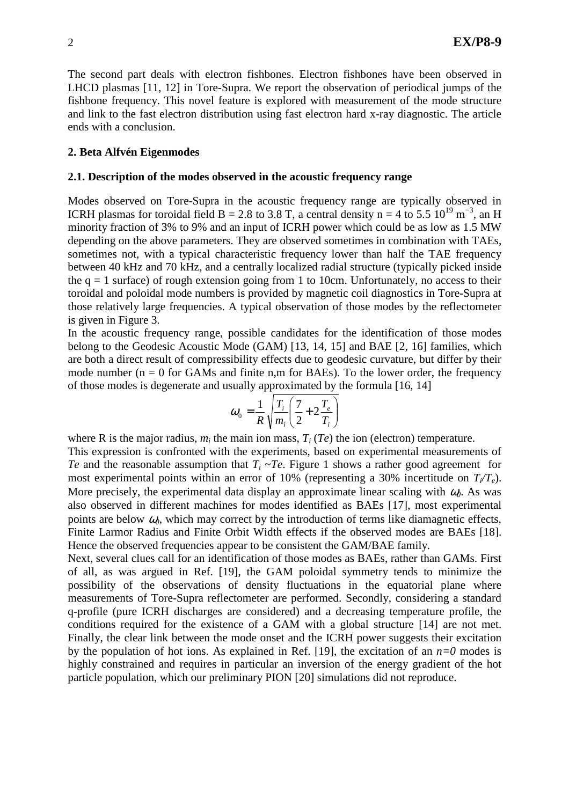The second part deals with electron fishbones. Electron fishbones have been observed in LHCD plasmas [11, 12] in Tore-Supra. We report the observation of periodical jumps of the fishbone frequency. This novel feature is explored with measurement of the mode structure and link to the fast electron distribution using fast electron hard x-ray diagnostic. The article ends with a conclusion.

### **2. Beta Alfvén Eigenmodes**

### **2.1. Description of the modes observed in the acoustic frequency range**

Modes observed on Tore-Supra in the acoustic frequency range are typically observed in ICRH plasmas for toroidal field B = 2.8 to 3.8 T, a central density n = 4 to 5.5  $10^{19}$  m<sup>-3</sup>, an H minority fraction of 3% to 9% and an input of ICRH power which could be as low as 1.5 MW depending on the above parameters. They are observed sometimes in combination with TAEs, sometimes not, with a typical characteristic frequency lower than half the TAE frequency between 40 kHz and 70 kHz, and a centrally localized radial structure (typically picked inside the  $q = 1$  surface) of rough extension going from 1 to 10cm. Unfortunately, no access to their toroidal and poloidal mode numbers is provided by magnetic coil diagnostics in Tore-Supra at those relatively large frequencies. A typical observation of those modes by the reflectometer is given in Figure 3.

In the acoustic frequency range, possible candidates for the identification of those modes belong to the Geodesic Acoustic Mode (GAM) [13, 14, 15] and BAE [2, 16] families, which are both a direct result of compressibility effects due to geodesic curvature, but differ by their mode number ( $n = 0$  for GAMs and finite n,m for BAEs). To the lower order, the frequency of those modes is degenerate and usually approximated by the formula [16, 14]

$$
\omega_0 = \frac{1}{R} \sqrt{\frac{T_i}{m_i} \left(\frac{7}{2} + 2\frac{T_e}{T_i}\right)}
$$

where R is the major radius,  $m_i$  the main ion mass,  $T_i$  ( $Te$ ) the ion (electron) temperature.

This expression is confronted with the experiments, based on experimental measurements of *Te* and the reasonable assumption that  $T_i \sim Te$ . Figure 1 shows a rather good agreement for most experimental points within an error of 10% (representing a 30% incertitude on  $T_f/T_e$ ). More precisely, the experimental data display an approximate linear scaling with  $\omega_0$ . As was also observed in different machines for modes identified as BAEs [17], most experimental points are below  $\omega_0$ , which may correct by the introduction of terms like diamagnetic effects, Finite Larmor Radius and Finite Orbit Width effects if the observed modes are BAEs [18]. Hence the observed frequencies appear to be consistent the GAM/BAE family.

Next, several clues call for an identification of those modes as BAEs, rather than GAMs. First of all, as was argued in Ref. [19], the GAM poloidal symmetry tends to minimize the possibility of the observations of density fluctuations in the equatorial plane where measurements of Tore-Supra reflectometer are performed. Secondly, considering a standard q-profile (pure ICRH discharges are considered) and a decreasing temperature profile, the conditions required for the existence of a GAM with a global structure [14] are not met. Finally, the clear link between the mode onset and the ICRH power suggests their excitation by the population of hot ions. As explained in Ref. [19], the excitation of an  $n=0$  modes is highly constrained and requires in particular an inversion of the energy gradient of the hot particle population, which our preliminary PION [20] simulations did not reproduce.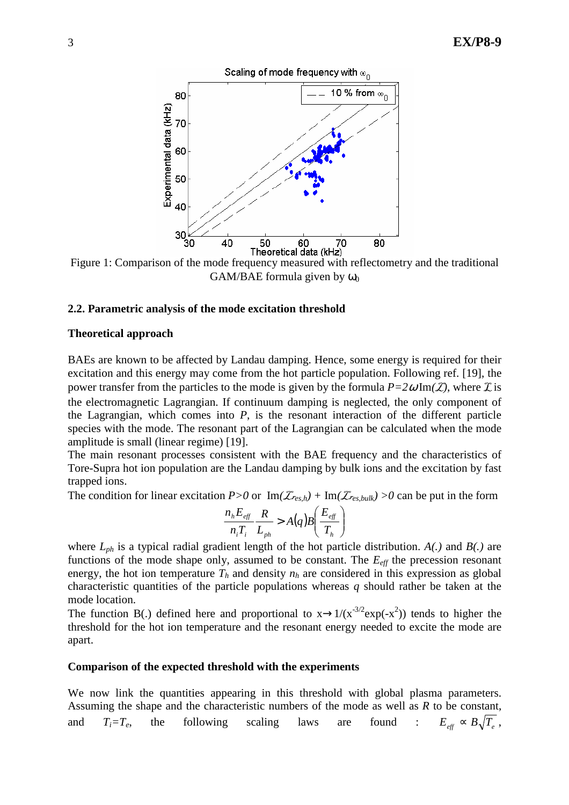

Figure 1: Comparison of the mode frequency measured with reflectometry and the traditional GAM/BAE formula given by  $\omega_0$ 

### **2.2. Parametric analysis of the mode excitation threshold**

#### **Theoretical approach**

BAEs are known to be affected by Landau damping. Hence, some energy is required for their excitation and this energy may come from the hot particle population. Following ref. [19], the power transfer from the particles to the mode is given by the formula  $P=2\omega \text{Im}(\mathcal{L})$ , where  $\mathcal{L}$  is the electromagnetic Lagrangian. If continuum damping is neglected, the only component of the Lagrangian, which comes into *P*, is the resonant interaction of the different particle species with the mode. The resonant part of the Lagrangian can be calculated when the mode amplitude is small (linear regime) [19].

The main resonant processes consistent with the BAE frequency and the characteristics of Tore-Supra hot ion population are the Landau damping by bulk ions and the excitation by fast trapped ions.

The condition for linear excitation  $P>0$  or  $\text{Im}(\mathcal{Z}_{res,h}) + \text{Im}(\mathcal{Z}_{res,bulk}) > 0$  can be put in the form

$$
\frac{n_{h}E_{\text{eff}}}{n_{i}T_{i}}\frac{R}{L_{ph}} > A(q)B\left(\frac{E_{\text{eff}}}{T_{h}}\right)
$$

where *Lph* is a typical radial gradient length of the hot particle distribution. *A(.)* and *B(.)* are functions of the mode shape only, assumed to be constant. The  $E_{\text{eff}}$  the precession resonant energy, the hot ion temperature  $T_h$  and density  $n_h$  are considered in this expression as global characteristic quantities of the particle populations whereas *q* should rather be taken at the mode location.

The function B(.) defined here and proportional to  $x \rightarrow 1/(x^{-3/2} \exp(-x^2))$  tends to higher the threshold for the hot ion temperature and the resonant energy needed to excite the mode are apart.

### **Comparison of the expected threshold with the experiments**

We now link the quantities appearing in this threshold with global plasma parameters. Assuming the shape and the characteristic numbers of the mode as well as *R* to be constant, and  $T_i = T_e$ , the following scaling laws are found :  $E_{\text{eff}} \propto B \sqrt{T_e}$ ,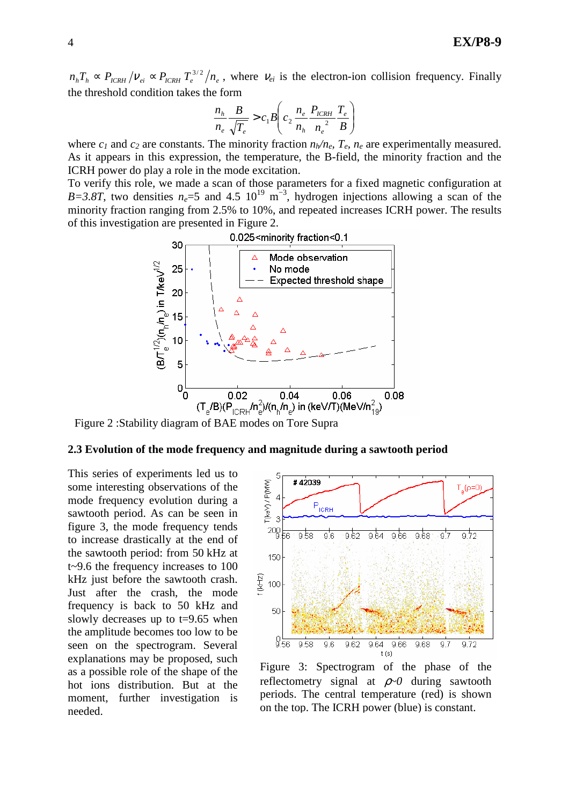$n_h T_h \propto P_{ICRH}/V_{ei} \propto P_{ICRH} T_e^{3/2}/n_e$ , where  $V_{ei}$  is the electron-ion collision frequency. Finally the threshold condition takes the form

$$
\frac{n_h}{n_e} \frac{B}{\sqrt{T_e}} > c_1 B \left( c_2 \frac{n_e}{n_h} \frac{P_{ICRH}}{n_e^2} \frac{T_e}{B} \right)
$$

where  $c_1$  and  $c_2$  are constants. The minority fraction  $n_h/n_e$ ,  $T_e$ ,  $n_e$  are experimentally measured. As it appears in this expression, the temperature, the B-field, the minority fraction and the ICRH power do play a role in the mode excitation.

To verify this role, we made a scan of those parameters for a fixed magnetic configuration at *B*=3.8T, two densities  $n_e$ =5 and 4.5 10<sup>19</sup> m<sup>-3</sup>, hydrogen injections allowing a scan of the minority fraction ranging from 2.5% to 10%, and repeated increases ICRH power. The results of this investigation are presented in Figure 2.



Figure 2 :Stability diagram of BAE modes on Tore Supra

#### **2.3 Evolution of the mode frequency and magnitude during a sawtooth period**

This series of experiments led us to some interesting observations of the mode frequency evolution during a sawtooth period. As can be seen in figure 3, the mode frequency tends to increase drastically at the end of the sawtooth period: from 50 kHz at t~9.6 the frequency increases to 100 kHz just before the sawtooth crash. Just after the crash, the mode frequency is back to 50 kHz and slowly decreases up to  $t=9.65$  when the amplitude becomes too low to be seen on the spectrogram. Several explanations may be proposed, such as a possible role of the shape of the hot ions distribution. But at the moment, further investigation is needed.



Figure 3: Spectrogram of the phase of the reflectometry signal at ρ*~0* during sawtooth periods. The central temperature (red) is shown on the top. The ICRH power (blue) is constant.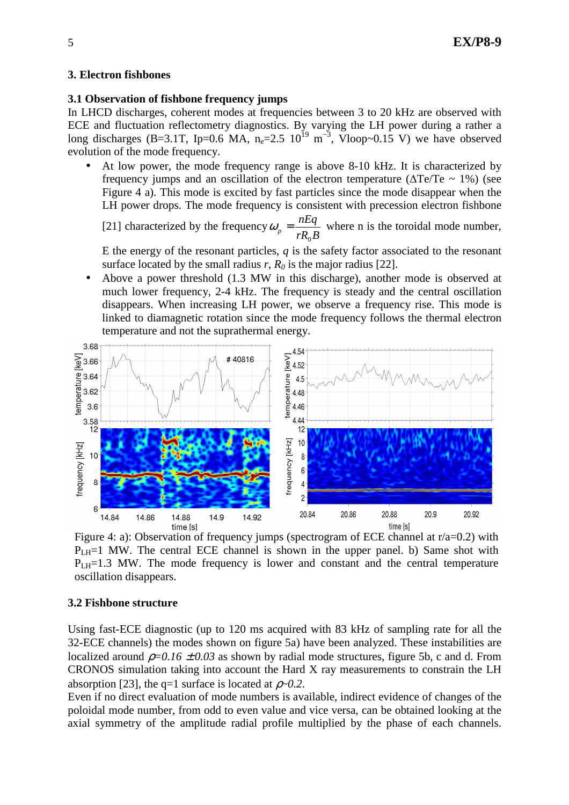# **3. Electron fishbones**

# **3.1 Observation of fishbone frequency jumps**

In LHCD discharges, coherent modes at frequencies between 3 to 20 kHz are observed with ECE and fluctuation reflectometry diagnostics. By varying the LH power during a rather a long discharges (B=3.1T, Ip=0.6 MA,  $n_e$ =2.5  $10^{19}$  m<sup>-3</sup>, Vloop~0.15 V) we have observed evolution of the mode frequency.

• At low power, the mode frequency range is above 8-10 kHz. It is characterized by frequency jumps and an oscillation of the electron temperature ( $\Delta Te/Te \sim 1\%$ ) (see Figure 4 a). This mode is excited by fast particles since the mode disappear when the LH power drops. The mode frequency is consistent with precession electron fishbone

[21] characterized by the frequency  $rR_0B$ *nEq p* 0  $\omega_p = \frac{n \Delta q}{n \Delta p}$  where n is the toroidal mode number,

E the energy of the resonant particles, *q* is the safety factor associated to the resonant surface located by the small radius *r*, *R0* is the major radius [22].

• Above a power threshold (1.3 MW in this discharge), another mode is observed at much lower frequency, 2-4 kHz. The frequency is steady and the central oscillation disappears. When increasing LH power, we observe a frequency rise. This mode is linked to diamagnetic rotation since the mode frequency follows the thermal electron temperature and not the suprathermal energy.



Figure 4: a): Observation of frequency jumps (spectrogram of ECE channel at  $r/a=0.2$ ) with  $P<sub>LH</sub>=1$  MW. The central ECE channel is shown in the upper panel. b) Same shot with  $P<sub>LH</sub>=1.3$  MW. The mode frequency is lower and constant and the central temperature oscillation disappears.

# **3.2 Fishbone structure**

Using fast-ECE diagnostic (up to 120 ms acquired with 83 kHz of sampling rate for all the 32-ECE channels) the modes shown on figure 5a) have been analyzed. These instabilities are localized around  $\rho=0.16 \pm 0.03$  as shown by radial mode structures, figure 5b, c and d. From CRONOS simulation taking into account the Hard X ray measurements to constrain the LH absorption [23], the q=1 surface is located at  $\rho$ ~0.2.

Even if no direct evaluation of mode numbers is available, indirect evidence of changes of the poloidal mode number, from odd to even value and vice versa, can be obtained looking at the axial symmetry of the amplitude radial profile multiplied by the phase of each channels.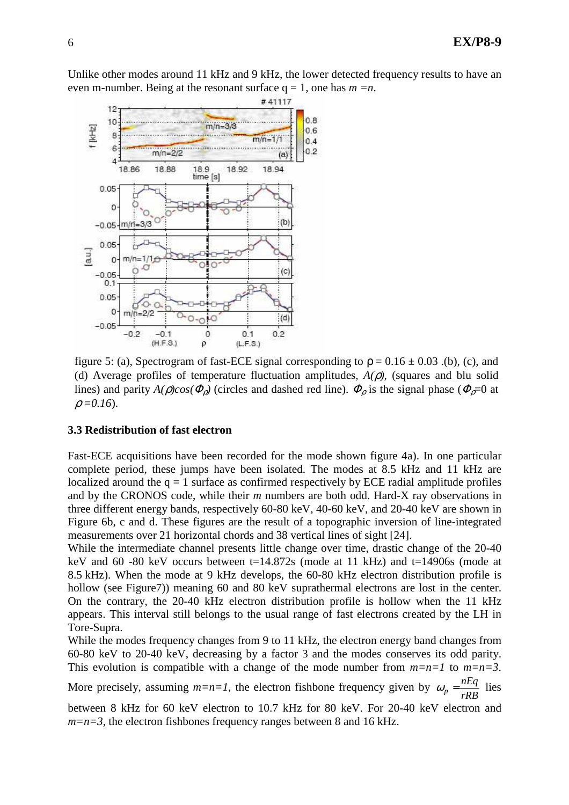Unlike other modes around 11 kHz and 9 kHz, the lower detected frequency results to have an even m-number. Being at the resonant surface  $q = 1$ , one has  $m = n$ .



figure 5: (a), Spectrogram of fast-ECE signal corresponding to  $\rho = 0.16 \pm 0.03$ . (b), (c), and (d) Average profiles of temperature fluctuation amplitudes, *A(*ρ*)*, (squares and blu solid lines) and parity  $A(\rho)cos(\Phi_{\rho})$  (circles and dashed red line).  $\Phi_{\rho}$  is the signal phase ( $\Phi_{\rho}=0$  at  $\rho = 0.16$ .

### **3.3 Redistribution of fast electron**

Fast-ECE acquisitions have been recorded for the mode shown figure 4a). In one particular complete period, these jumps have been isolated. The modes at 8.5 kHz and 11 kHz are localized around the  $q = 1$  surface as confirmed respectively by ECE radial amplitude profiles and by the CRONOS code, while their *m* numbers are both odd. Hard-X ray observations in three different energy bands, respectively 60-80 keV, 40-60 keV, and 20-40 keV are shown in Figure 6b, c and d. These figures are the result of a topographic inversion of line-integrated measurements over 21 horizontal chords and 38 vertical lines of sight [24].

While the intermediate channel presents little change over time, drastic change of the 20-40 keV and 60 -80 keV occurs between t=14.872s (mode at 11 kHz) and t=14906s (mode at 8.5 kHz). When the mode at 9 kHz develops, the 60-80 kHz electron distribution profile is hollow (see Figure7)) meaning 60 and 80 keV suprathermal electrons are lost in the center. On the contrary, the 20-40 kHz electron distribution profile is hollow when the 11 kHz appears. This interval still belongs to the usual range of fast electrons created by the LH in Tore-Supra.

While the modes frequency changes from 9 to 11 kHz, the electron energy band changes from 60-80 keV to 20-40 keV, decreasing by a factor 3 and the modes conserves its odd parity. This evolution is compatible with a change of the mode number from *m=n=1* to *m=n=3*.

More precisely, assuming *m=n=1*, the electron fishbone frequency given by *rRB*  $\omega_p = \frac{nEq}{nP}$  lies between 8 kHz for 60 keV electron to 10.7 kHz for 80 keV. For 20-40 keV electron and

 $m=n=3$ , the electron fishbones frequency ranges between 8 and 16 kHz.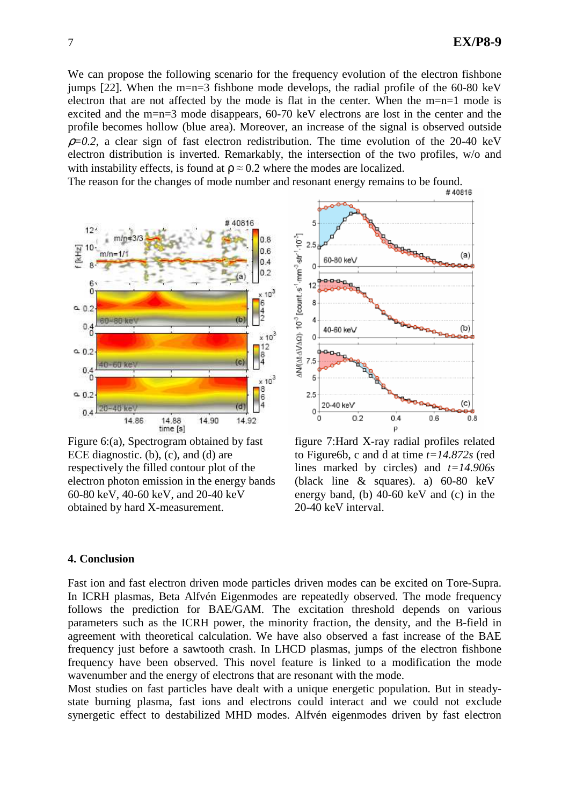We can propose the following scenario for the frequency evolution of the electron fishbone jumps [22]. When the m=n=3 fishbone mode develops, the radial profile of the  $60-80$  keV electron that are not affected by the mode is flat in the center. When the m=n=1 mode is excited and the m=n=3 mode disappears, 60-70 keV electrons are lost in the center and the profile becomes hollow (blue area). Moreover, an increase of the signal is observed outside  $\rho$ =0.2, a clear sign of fast electron redistribution. The time evolution of the 20-40 keV electron distribution is inverted. Remarkably, the intersection of the two profiles, w/o and with instability effects, is found at  $\rho \approx 0.2$  where the modes are localized.

The reason for the changes of mode number and resonant energy remains to be found.<br>#40816



Figure 6:(a), Spectrogram obtained by fast ECE diagnostic. (b), (c), and (d) are respectively the filled contour plot of the electron photon emission in the energy bands 60-80 keV, 40-60 keV, and 20-40 keV obtained by hard X-measurement.



figure 7:Hard X-ray radial profiles related to Figure6b, c and d at time *t=14.872s* (red lines marked by circles) and *t=14.906s* (black line & squares). a) 60-80 keV energy band, (b) 40-60 keV and (c) in the 20-40 keV interval.

# **4. Conclusion**

Fast ion and fast electron driven mode particles driven modes can be excited on Tore-Supra. In ICRH plasmas, Beta Alfvén Eigenmodes are repeatedly observed. The mode frequency follows the prediction for BAE/GAM. The excitation threshold depends on various parameters such as the ICRH power, the minority fraction, the density, and the B-field in agreement with theoretical calculation. We have also observed a fast increase of the BAE frequency just before a sawtooth crash. In LHCD plasmas, jumps of the electron fishbone frequency have been observed. This novel feature is linked to a modification the mode wavenumber and the energy of electrons that are resonant with the mode.

Most studies on fast particles have dealt with a unique energetic population. But in steadystate burning plasma, fast ions and electrons could interact and we could not exclude synergetic effect to destabilized MHD modes. Alfvén eigenmodes driven by fast electron